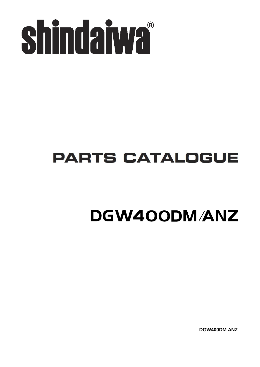

## **PARTS CATALOGUE**

# DGW400DM/ANZ

**DGW400DM ANZ**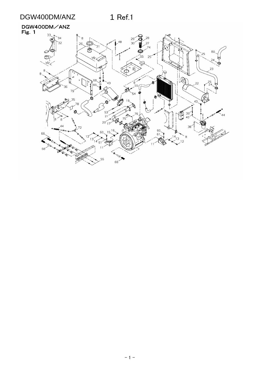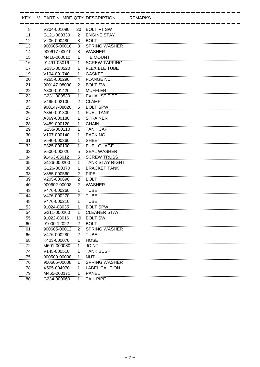|                      |                             |                       | KEY LV PART NUMBE Q'TY DESCRIPTION       | <b>REMARKS</b> |
|----------------------|-----------------------------|-----------------------|------------------------------------------|----------------|
|                      |                             |                       |                                          |                |
| 8<br>11              | V204-001090<br>G121-000330  | 20<br>$\overline{2}$  | <b>BOLT FT SW</b><br><b>ENGINE STAY</b>  |                |
| 12                   |                             |                       | <b>BOLT</b>                              |                |
|                      | V206-000480                 | 8                     |                                          |                |
| 13                   | 900605-00010                | 8                     | <b>SPRING WASHER</b>                     |                |
| 14                   | 900617-00010<br>M416-000010 | 8                     | <b>WASHER</b>                            |                |
| 15<br>16             | 91491-05016                 | $\mathbf 1$<br>1      | <b>TIE MOUNT</b><br><b>SCREW TAPPING</b> |                |
| 17                   | G231-000520                 | 1                     | <b>FLEXIBLE TUBE</b>                     |                |
| 19                   | V104-001740                 | 1                     | <b>GASKET</b>                            |                |
| 20                   | V265-000290                 | 4                     | <b>FLANGE NUT</b>                        |                |
| 21                   | 900147-08030                | $\overline{2}$        | <b>BOLT SW</b>                           |                |
| 22                   | A300-001420                 | 1                     | <b>MUFFLER</b>                           |                |
| 23                   | G231-000530                 | 1                     | <b>EXHAUST PIPE</b>                      |                |
| 24                   | V495-002100                 | $\overline{2}$        | <b>CLAMP</b>                             |                |
|                      | 900147-08020                | 5                     | <b>BOLT SPW</b>                          |                |
| 25<br>26             | A350-001800                 | 1                     | <b>FUEL TANK</b>                         |                |
| 27                   | A369-000180                 | 1                     | <b>STRAINER</b>                          |                |
| 28                   | V489-000120                 | 1                     | <b>CHAIN</b>                             |                |
| 29                   | G255-000110                 | 1                     | <b>TANK CAP</b>                          |                |
| 30                   | V107-000140                 | 1                     | <b>PACKING</b>                           |                |
| 31                   | V540-000360                 | 1                     | <b>SHEET</b>                             |                |
| 32                   | E325-000100                 | 1                     | <b>FUEL GUAGE</b>                        |                |
| 33                   | V500-000020                 | 5                     | <b>SEAL WASHER</b>                       |                |
| 34                   | 91463-05012                 | 5                     | <b>SCREW TRUSS</b>                       |                |
| 35                   | G126-000200                 | 1                     | <b>TANK STAY RIGHT</b>                   |                |
| 36                   | G126-000370                 | 1                     | <b>BRACKET, TANK</b>                     |                |
| 38                   | V355-000560                 | $\overline{2}$        | <b>PIPE</b>                              |                |
| 39                   | V205-000690                 | 2                     | <b>BOLT</b>                              |                |
| 40                   | 900602-00008                | $\overline{2}$        | <b>WASHER</b>                            |                |
| 43                   | V476-000260                 | 1                     | <b>TUBE</b>                              |                |
| 44                   | V476-000270                 | 2                     | <b>TUBE</b>                              |                |
| 48                   | V476-000210                 | 1                     | <b>TUBE</b>                              |                |
| 53                   | 91024-08035                 | 1.                    | <b>BOLT SPW</b>                          |                |
| <br>54               | G211-000260                 | 1                     | <b>CLEANER STAY</b>                      |                |
| 55                   | 91022-08016                 | 10                    | <b>BOLT SW</b>                           |                |
| 60                   | 91000-12022                 | $\mathbf{2}$          | <b>BOLT</b>                              |                |
| <br>61               | 900605-00012                | $\mathbf{2}^{\prime}$ | <b>SPRING WASHER</b>                     |                |
| 66                   | V476-000280                 | $\overline{2}$        | <b>TUBE</b>                              |                |
| $rac{68}{2}$         | K403-000070                 | $\mathbf{1}$          | <b>HOSE</b>                              |                |
| 72                   | M601-000080                 | 1                     | <b>JOINT</b>                             |                |
| 74                   | V145-000510                 | 1                     | <b>TANK BUSH</b>                         |                |
| 75                   | 900500-00008                | $\mathbf 1$           | <b>NUT</b>                               |                |
| 76                   | 900605-00008                | 1                     | <b>SPRING WASHER</b>                     |                |
| 78                   | X505-004970                 | 1                     | <b>LABEL CAUTION</b>                     |                |
| 79                   | M465-000171                 | 1                     | <b>PANEL</b>                             |                |
| ,,,,,,,,,,,,,,<br>80 | G234-000060                 |                       | TAIL PIPE                                |                |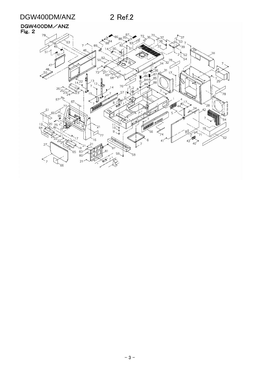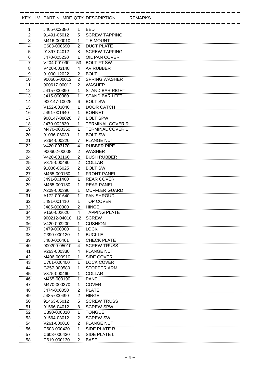|                |                          |                | KEY LV PART NUMBE Q'TY DESCRIPTION | <b>REMARKS</b> |
|----------------|--------------------------|----------------|------------------------------------|----------------|
| 1              | J405-002380              | 1              | <b>BED</b>                         |                |
| $\overline{2}$ | 91491-05012              | 5              | <b>SCREW TAPPING</b>               |                |
| 3              | M416-000010              | $\mathbf{1}$   | TIE MOUNT                          |                |
| 4              | C603-000690              | 2              | <b>DUCT PLATE</b>                  |                |
| 5              | 91397-04012              | 8              | <b>SCREW TAPPING</b>               |                |
| 6              | J470-005230              | 1              | OIL PAN COVER                      |                |
| 7              | V204-001090              | 53             | <b>BOLT FT SW</b>                  |                |
| 8              | V420-003140              | 4              | AV RUBBER                          |                |
| 9              | 91000-12022              | 2              | <b>BOLT</b>                        |                |
| 10             | 900605-00012             | 2              | <b>SPRING WASHER</b>               |                |
| 11             | 900617-00012             | $\overline{2}$ | <b>WASHER</b>                      |                |
| 12             | J415-000390              | 1              | <b>STAND BAR RIGHT</b>             |                |
| 13             | J415-000380              | 1              | STAND BAR LEFT                     |                |
| 14             | 900147-10025             | 6              | <b>BOLT SW</b>                     |                |
| 15             | V152-003040              | 1              | <b>DOOR CATCH</b>                  |                |
| 16             | J491-001640              | 1              | <b>BONNET</b>                      |                |
| 17             | 900147-08020             | $\overline{7}$ | <b>BOLT SPW</b>                    |                |
| 18             | J470-002830              | 1              | <b>TERMINAL COVER R</b>            |                |
| 19             | M470-000360              | 1              | <b>TERMINAL COVER L</b>            |                |
| 20             | 91036-06030              | 1              | <b>BOLT SW</b>                     |                |
| 21             | V264-000220              | $\overline{7}$ | <b>FLANGE NUT</b>                  |                |
| 22             | V420-003170              | 4              | RUBBER PIPE                        |                |
| 23             | 900602-00008             | $\overline{2}$ | <b>WASHER</b>                      |                |
| 24             | V420-003160              | $\overline{2}$ | <b>BUSH RUBBER</b>                 |                |
| 25             | V375-000480              | 2              | <b>COLLAR</b>                      |                |
| 26             | 91036-06025              | $\overline{2}$ | <b>BOLT SW</b>                     |                |
| 27             | M465-000160              | 1              | <b>FRONT PANEL</b>                 |                |
| 28             | J491-001400              | 1              | REAR COVER                         |                |
| 29             | M465-000180              | 1              | <b>REAR PANEL</b>                  |                |
| 30             | A209-000390              | 1              | <b>MUFFLER GUARD</b>               |                |
| 31             | A172-001640              | 1              | <b>FAN SHROUD</b>                  |                |
| 32             | J491-001410              | 1              | <b>TOP COVER</b>                   |                |
| 33             | J485-000300              | $\mathcal{P}$  | <b>HINGE</b>                       |                |
| <br>34         | V <sub>150</sub> -002620 | 4              | <b>TAPPING PLATE</b>               |                |
| 35             | 900212-04010             | 12             | <b>SCREW</b>                       |                |
| 36             | V420-003200              | $\mathbf{1}$   | <b>CUSHION</b>                     |                |
| 37             | J479-000000              | 1              | <b>LOCK</b>                        |                |
| 38             | C390-000120              | 1              | <b>BUCKLE</b>                      |                |
| 39             | J480-000461              | 1              | <b>CHECK PLATE</b>                 |                |
| 40             | 900209-05010             | 4              | <b>SCREW TRUSS</b>                 |                |
| 41             | V263-000330              | 4              | <b>FLANGE NUT</b>                  |                |
| 42             | M406-000910              | $\mathbf 1$    | SIDE COVER                         |                |
| 43             | C701-000400              | 1              | <b>LOCK COVER</b>                  |                |
| 44             | G257-000580              | 1              | <b>STOPPER ARM</b>                 |                |
| 45             | V375-000460              | 1              | <b>COLLAR</b>                      |                |
| 46             | M465-000190              | 1              | PANEL                              |                |
| 47             | M470-000370              | 1              | <b>COVER</b>                       |                |
| 48             | J474-000050              | $\mathbf{2}$   | <b>PLATE</b>                       |                |
| 49             | J485-000490              | $\mathbf{2}$   | <b>HINGE</b>                       |                |
| 50             | 91463-05012              | 5              | <b>SCREW TRUSS</b>                 |                |
| 51             | 91566-04012              | 8              | <b>SCREW SPW</b>                   |                |
| 52             | C390-000010              | $\mathbf{1}$   | <b>TONGUE</b>                      |                |
| 53             | 91564-03012              | $\overline{2}$ | <b>SCREW SW</b>                    |                |
| 54             | V261-000010              | $\frac{2}{2}$  | <b>FLANGE NUT</b>                  |                |
| 56             | C603-000420              | 1              | SIDE PLATE R                       |                |
| 57             | C603-000430              | $\mathbf{1}$   | SIDE PLATE L                       |                |
| 58             | C619-000130              | $\overline{2}$ | <b>BASE</b>                        |                |
|                |                          |                |                                    |                |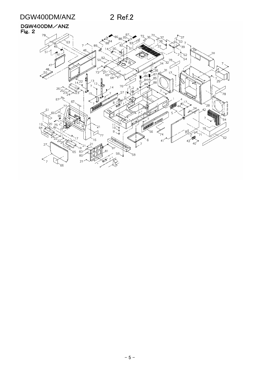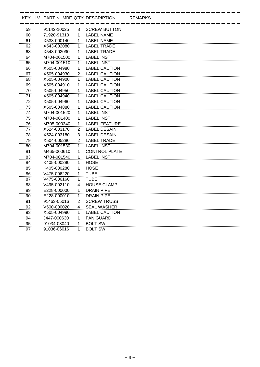|    |             |                | KEY LV PART NUMBE Q'TY DESCRIPTION | <b>REMARKS</b> |
|----|-------------|----------------|------------------------------------|----------------|
| 59 | 91142-10025 | 8              | <b>SCREW BUTTON</b>                |                |
| 60 | 71920-91310 | 1              | <b>LABEL NAME</b>                  |                |
| 61 | X533-000140 | 1              | <b>LABEL NAME</b>                  |                |
| 62 | X543-002080 | 1              | <b>LABEL TRADE</b>                 |                |
| 63 | X543-002090 | 1              | <b>LABEL TRADE</b>                 |                |
| 64 | M704-001500 | 1              | <b>LABEL INST</b>                  |                |
| 65 | M704-001510 | 1              | <b>LABEL INST</b>                  |                |
| 66 | X505-004980 | 1              | <b>LABEL CAUTION</b>               |                |
| 67 | X505-004930 | $2_{}$         | <b>LABEL CAUTION</b>               |                |
| 68 | X505-004900 | 1              | <b>LABEL CAUTION</b>               |                |
| 69 | X505-004910 | $\mathbf{1}$   | <b>LABEL CAUTION</b>               |                |
| 70 | X505-004950 | $\mathbf 1$    | <b>LABEL CAUTION</b>               |                |
| 71 | X505-004940 | 1              | <b>LABEL CAUTION</b>               |                |
| 72 | X505-004960 | 1              | <b>LABEL CAUTION</b>               |                |
| 73 | X505-004880 | $\mathbf 1$    | <b>LABEL CAUTION</b>               |                |
| 74 | M704-001520 | 1              | <b>LABEL INST</b>                  |                |
| 75 | M704-001400 | 1              | <b>LABEL INST</b>                  |                |
| 76 | M705-000340 | 1              | <b>LABEL FEATURE</b>               |                |
| 77 | X524-003170 | 2              | <b>LABEL DESAIN</b>                |                |
| 78 | X524-003180 | 3              | <b>LABEL DESAIN</b>                |                |
| 79 | X504-005280 | 2              | <b>LABEL TRADE</b>                 |                |
| 80 | M704-001530 | 1              | <b>LABEL INST</b>                  |                |
| 81 | M465-000610 | 1              | <b>CONTROL PLATE</b>               |                |
| 83 | M704-001540 | 1              | <b>LABEL INST</b>                  |                |
| 84 | K405-000290 | 1              | <b>HOSE</b>                        |                |
| 85 | K405-000280 | 1              | <b>HOSE</b>                        |                |
| 86 | V475-006220 | 1              | <b>TUBE</b>                        |                |
| 87 | V475-006160 | 1              | TUBE                               |                |
| 88 | V495-002110 | 4              | <b>HOUSE CLAMP</b>                 |                |
| 89 | E228-000000 | 1              | <b>DRAIN PIPE</b>                  |                |
| 90 | E228-000010 | 1              | <b>DRAIN PIPE</b>                  |                |
| 91 | 91463-05016 | $\overline{2}$ | <b>SCREW TRUSS</b>                 |                |
| 92 | V500-000020 | 4              | <b>SEAL WASHER</b>                 |                |
| 93 | X505-004990 | 1              | <b>LABEL CAUTION</b>               |                |
| 94 | J447-000630 | 1              | <b>FAN GUARD</b>                   |                |
| 95 | 91034-08040 | 1              | <b>BOLT SW</b>                     |                |
| 97 | 91036-06016 | 1              | <b>BOLT SW</b>                     |                |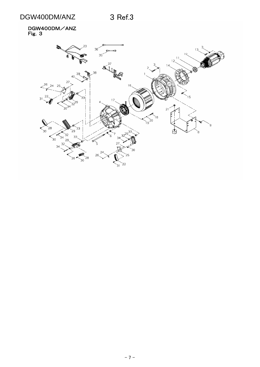DGW400DM/ANZ<br>Fig. 3

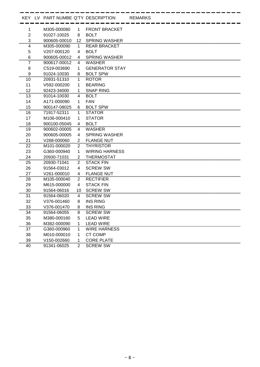|                | KEY LV PART NUMBE Q'TY DESCRIPTION |                |                       | <b>REMARKS</b> |
|----------------|------------------------------------|----------------|-----------------------|----------------|
| 1              | M305-000080                        | 1              | <b>FRONT BRACKET</b>  |                |
| $\overline{2}$ | 91027-10025                        | 8              | <b>BOLT</b>           |                |
| 3              | 900605-00010                       | 12             | <b>SPRING WASHER</b>  |                |
| 4              | M305-000090                        | 1              | <b>REAR BRACKET</b>   |                |
| 5              | V207-000120                        | 4              | <b>BOLT</b>           |                |
| 6              | 900605-00012                       | 4              | <b>SPRING WASHER</b>  |                |
| 7              | 900617-00012                       | 4              | <b>WASHER</b>         |                |
| 8              | C519-003690                        | 1              | <b>GENERATOR STAY</b> |                |
| 9              | 91024-10030                        | 8              | <b>BOLT SPW</b>       |                |
| 10             | 20931-51310                        | 1              | <b>ROTOR</b>          |                |
| 11             | V592-000200                        | 1              | <b>BEARING</b>        |                |
| 12             | 92423-34000                        | 1              | <b>SNAP RING</b>      |                |
| 13             | 91014-10030                        | 4              | <b>BOLT</b>           |                |
| 14             | A171-000090                        | 1              | <b>FAN</b>            |                |
| 15             | 900147-08025                       | 6              | <b>BOLT SPW</b>       |                |
| 16             | 71917-52311                        | 1              | <b>STATOR</b>         |                |
| 17             | M106-000410                        | 1              | <b>STATOR</b>         |                |
| 18             | 900100-05045                       | 4              | <b>BOLT</b>           |                |
| 19             | 900602-00005                       | 4              | <b>WASHER</b>         |                |
| 20             | 900605-00005                       | 4              | <b>SPRING WASHER</b>  |                |
| 21             | V268-000060                        | $\overline{2}$ | <b>FLANGE NUT</b>     |                |
| 22             | M101-000020                        | 2              | <b>THYRISTOR</b>      |                |
| 23             | G360-000940                        | 1              | <b>WIRING HARNESS</b> |                |
| 24             | 20930-71031                        | $\overline{2}$ | <b>THERMOSTAT</b>     |                |
| 25             | 20930-71041                        | 2              | <b>STACK FIN</b>      |                |
| 26             | 91564-03012                        | 4              | <b>SCREW SW</b>       |                |
| 27             | V261-000010                        | 4              | <b>FLANGE NUT</b>     |                |
| 28             | M105-000040                        | 2              | <b>RECTIFIER</b>      |                |
| 29             | M615-000000                        | 4              | <b>STACK FIN</b>      |                |
| 30             | 91564-06016                        | 10             | <b>SCREW SW</b>       |                |
| 31             | 91564-06020                        | 4              | <b>SCREW SW</b>       |                |
| 32             | V376-001460                        | 8              | <b>INS RING</b>       |                |
| 33             | V376-001470                        | 8              | <b>INS RING</b>       |                |
| 34             | 91564-06055                        | 8              | <b>SCREW SW</b>       |                |
| 35             | M380-000160                        | 5              | <b>LEAD WIRE</b>      |                |
| 36             | M382-000090                        | 1              | <b>LEAD WIRE</b>      |                |
| 37             | G360-000960                        | 1              | <b>WIRE HARNESS</b>   |                |
| 38             | M010-000010                        | 1              | <b>CT COMP</b>        |                |
| 39             | V150-002660                        | 1              | <b>CORE PLATE</b>     |                |
| 40             | 91341-06025                        | $\mathbf{2}$   | <b>SCREW SW</b>       |                |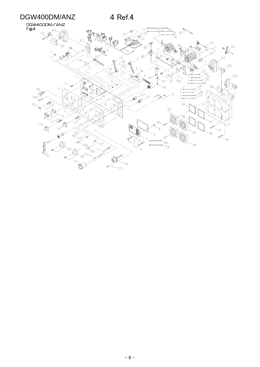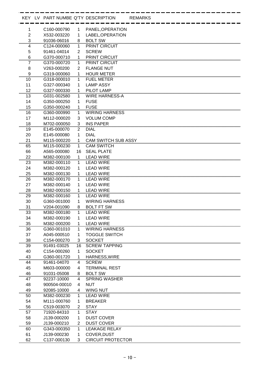|                | KEY LV PART NUMBE Q'TY DESCRIPTION |                | <b>REMARKS</b>             |
|----------------|------------------------------------|----------------|----------------------------|
| 1              | C160-000790                        | 1              | PANEL, OPERATION           |
| $\overline{2}$ | X532-003220                        | 1              | LABEL, OPERATION           |
| 3              | 91036-06016                        | 8              | <b>BOLT SW</b>             |
| 4              | C124-000060                        | 1              | <b>PRINT CIRCUIT</b>       |
| 5              | 91461-04014                        | 2              | <b>SCREW</b>               |
| 6              | G370-000710                        | 1              | <b>PRINT CIRCUIT</b>       |
| 7              | G370-000720                        | 1              | <b>PRINT CIRCUIT</b>       |
| 8              | V263-000200                        | 2              | <b>FLANGE NUT</b>          |
| 9              | G319-000060                        | 1              | <b>HOUR METER</b>          |
| 10             | G318-000010                        | 1              | <b>FUEL METER</b>          |
| 11             | G327-000340                        | 1              | <b>LAMP ASSY</b>           |
| 12             | G327-000330                        | 1              | PILOT LAMP                 |
| 13             | G031-002580                        | 1              | WIRE HARNESS-A             |
| 14             | G350-000250                        | 1              | <b>FUSE</b>                |
| 15             | G350-000240                        | $\mathbf 1$    | <b>FUSE</b>                |
| 16             | G360-000990                        | 1              | <b>WIRING HARNESS</b>      |
| 17             | M112-000020                        | 3              | <b>VOLUM COMP</b>          |
| 18             | M702-000050                        | 3              | <b>INS PAPER</b>           |
| 19             | E145-000070                        | $\overline{2}$ | <b>DIAL</b>                |
| 20             | E145-000080                        | 1              | <b>DIAL</b>                |
| 21             | M115-000220                        | $\mathbf{1}$   | <b>CAM SWITCH SUB ASSY</b> |
| 65             | M115-000230                        | 1              | <b>CAM SWITCH</b>          |
| 66             | A565-000080                        | 16             | <b>SEAL PLATE</b>          |
| 22             | M382-000100                        | 1              | <b>LEAD WIRE</b>           |
| 23             | M382-000110                        | 1              | <b>LEAD WIRE</b>           |
| 24             | M382-000120                        | 1              | <b>LEAD WIRE</b>           |
| 25             | M382-000130                        | 1.             | <b>LEAD WIRE</b>           |
| 26             | M382-000170                        | 1              | LEAD WIRE                  |
| 27             | M382-000140                        | 1              | <b>LEAD WIRE</b>           |
| 28             | M382-000150                        | 1              | <b>LEAD WIRE</b>           |
| 29             | M382-000160                        | 1              | <b>LEAD WIRE</b>           |
| 30             | G360-001000                        | 1              | <b>WIRING HARNESS</b>      |
| 31             | V204-001090                        | 8              | <b>BOLT FT SW</b>          |
| <br>33         | M382-000180                        | $\mathbf{1}$   | <b>LEAD WIRE</b>           |
| 34             | M382-000190                        | $\mathbf{1}$   | <b>LEAD WIRE</b>           |
| 35             | M382-000200                        | $\mathbf{1}$   | <b>LEAD WIRE</b>           |
| 36             | G360-001010                        | 1              | <b>WIRING HARNESS</b>      |
| 37             | A045-000510                        | 1              | <b>TOGGLE SWITCH</b>       |
| 38             | C154-000270                        | 3              | <b>SOCKET</b>              |
| 39             | 91491-03025                        | 16             | <b>SCREW TAPPING</b>       |
| 40             | C154-000260                        | 1              | <b>SOCKET</b>              |
| 43             | G360-001720                        | 1              | HARNESS, WIRE              |
| 44             | 91461-04070                        | 4              | <b>SCREW</b>               |
| 45             | M603-000000                        | 4              | <b>TERMINAL REST</b>       |
| 46             | 91031-05008                        | 8              | <b>BOLT SW</b>             |
| 47             | 92237-10000                        | 4              | <b>SPRING WASHER</b>       |
| 48             | 900504-00010                       | 4              | <b>NUT</b>                 |
| 49             | 92085-10000                        | 4              | WING NUT                   |
| 50             | M382-000230                        | 1.             | <b>LEAD WIRE</b>           |
| 54             | M111-000760                        | 1              | <b>BREAKER</b>             |
| 56             | C519-003070                        | $\overline{2}$ | <b>STAY</b>                |
| 57             | 71920-84310                        | 1              | <b>STAY</b>                |
| 58             | J139-000200                        | 1              | <b>DUST COVER</b>          |
| 59             | J139-000210                        | $\overline{a}$ | <b>DUST COVER</b>          |
| 60             | G343-000350                        | 1              | LEAKAGE RELAY              |
| 61             | J139-000230                        | 1              | COVER, DUST                |
| 62             | C137-000130                        | 3              | <b>CIRCUIT PROTECTOR</b>   |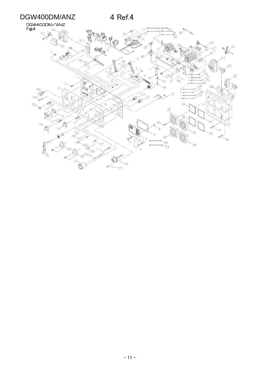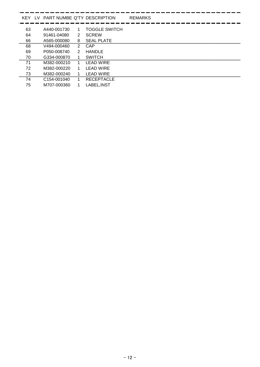| KEY |                          |   | LV PART NUMBE Q'TY DESCRIPTION | <b>REMARKS</b> |
|-----|--------------------------|---|--------------------------------|----------------|
|     |                          |   |                                |                |
| 63  | A440-001730              | 1 | <b>TOGGLE SWITCH</b>           |                |
| 64  | 91461-04080              | 2 | <b>SCREW</b>                   |                |
| 66  | A565-000080              | 8 | <b>SEAL PLATE</b>              |                |
| 68  | V494-000460              | 2 | CAP                            |                |
| 69  | P050-008740              | 2 | HANDLE                         |                |
| 70  | G334-000870              | 1 | <b>SWITCH</b>                  |                |
| 71  | M382-000210              | 1 | LEAD WIRE                      |                |
| 72  | M382-000220              | 1 | <b>LEAD WIRE</b>               |                |
| 73  | M382-000240              |   | <b>LEAD WIRE</b>               |                |
| 74  | C <sub>154</sub> -001040 |   | <b>RECEPTACLE</b>              |                |
| 75  | M707-000360              | 1 | LABEL, INST                    |                |
|     |                          |   |                                |                |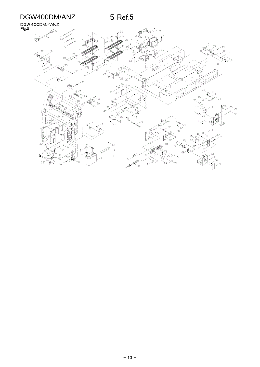DGW400DM/ANZ 5 Ref.5

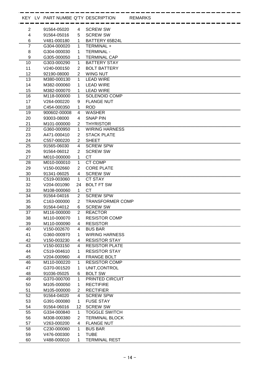|                      |                          |                | KEY LV PART NUMBE Q'TY DESCRIPTION | <b>REMARKS</b> |
|----------------------|--------------------------|----------------|------------------------------------|----------------|
| $\overline{2}$       | 91564-05020              | 4              | <b>SCREW SW</b>                    |                |
| 4                    | 91564-05016              | 5              | <b>SCREW SW</b>                    |                |
| 6                    | V481-000180              | 1              | BATTERY 65B24L                     |                |
| 7                    | G304-000020              | 1              | TERMINAL +                         |                |
| 8                    | G304-000030              | 1              | <b>TERMINAL -</b>                  |                |
| 9                    | G305-000050              | 1              | <b>TERMINAL CAP</b>                |                |
| 10                   | G303-000290              | 1              | <b>BATTERY STAY</b>                |                |
| 11                   | V240-000150              | $\overline{2}$ | <b>BOLT BATTERY</b>                |                |
| 12                   | 92190-08000              | $\overline{2}$ | WING NUT                           |                |
|                      |                          |                |                                    |                |
| 13                   | M380-000130              | 1              | <b>LEAD WIRE</b>                   |                |
| 14                   | M382-000060              | 1              | <b>LEAD WIRE</b>                   |                |
| 15                   | M382-000070              | 1              | <b>LEAD WIRE</b>                   |                |
| 16                   | M118-000000              | 1              | SOLENOID COMP                      |                |
| 17                   | V264-000220              | 9              | <b>FLANGE NUT</b>                  |                |
| 18                   | C454-000350              | 1              | <b>ROD</b>                         |                |
| 19                   | 900602-00008             | 4              | <b>WASHER</b>                      |                |
| 20                   | 93003-08000              | 4              | <b>SNAP PIN</b>                    |                |
| 21                   | M101-000000              | $\overline{2}$ | <b>THYRISTOR</b>                   |                |
| 22                   | G360-000950              | 1              | <b>WIRING HARNESS</b>              |                |
| 23                   | A471-000410              | $\overline{2}$ | <b>STACK PLATE</b>                 |                |
| 24                   | C557-000220              | $\overline{c}$ | <b>SHEET</b>                       |                |
| 25                   | 91565-06030              | 4              | <b>SCREW SPW</b>                   |                |
| 26                   | 91564-06012              | $\overline{2}$ | <b>SCREW SW</b>                    |                |
| 27                   | M010-000000              | 1              | <b>CT</b>                          |                |
| 28                   | M010-000010              | $\mathbf{1}$   | CT COMP                            |                |
| 29                   | V150-002660              | $\overline{2}$ | <b>CORE PLATE</b>                  |                |
| 30                   | 91341-06025              | 4              | <b>SCREW SW</b>                    |                |
| 31                   | C519-003060              | 1              | CT STAY                            |                |
| 32                   | V204-001090              | 24             | <b>BOLT FT SW</b>                  |                |
| 33                   | M108-000060              | $\mathbf{1}$   | СT                                 |                |
| 34                   | 91564-04016              | $\mathbf{2}$   | <b>SCREW SPW</b>                   |                |
| 35                   | C163-000000              | $\overline{2}$ | <b>TRANSFORMER COMP</b>            |                |
|                      | 91564-04012              | 6.             | SCREW SW                           |                |
| $\frac{36}{2}$<br>37 | M116-000000              | 2              | <b>REACTOR</b>                     |                |
| 38                   | M110-000070              | 1              | <b>RESISTOR COMP</b>               |                |
| 39                   |                          |                | <b>RESISTOR</b>                    |                |
|                      | M110-000090              | 4              |                                    |                |
| 40                   | V150-002670              | 4              | <b>BUS BAR</b>                     |                |
| 41                   | G360-000970              | 1              | <b>WIRING HARNESS</b>              |                |
| 42<br>               | V150-003230              | 4              | <b>RESISTOR STAY</b>               |                |
| 43                   | V150-003150              | 4              | <b>RESISTOR PLATE</b>              |                |
| 44                   | C519-004610              | 1              | <b>RESISTOR STAY</b>               |                |
| 45                   | V204-000960              | 4              | <b>FRANGE BOLT</b>                 |                |
| 46                   | M110-000220              | 1              | <b>RESISTOR COMP</b>               |                |
| 47                   | G370-001520              | 1              | UNIT, CONTROL                      |                |
| 48                   | 91036-05025              | 6              | <b>BOLT SW</b>                     |                |
| 49                   | G370-000700              | 1              | <b>PRINTED CIRCUIT</b>             |                |
| 50                   | M105-000050              | 1              | <b>RECTIFIRE</b>                   |                |
| 51                   | M105-000000              | 2              | <b>RECTIFIER</b>                   |                |
| 52                   | 91564-04020              | 4              | <b>SCREW SPW</b>                   |                |
| 53                   | G391-000080              | 1              | <b>FUSE STAY</b>                   |                |
| 54                   | 91564-06016              | 12             | <b>SCREW SW</b>                    |                |
| 55                   | G334-000840              | 1              | TOGGLE SWITCH                      |                |
| 56                   | M308-000380              | $\overline{2}$ | <b>TERMINAL BLOCK</b>              |                |
| 57                   | V263-000200              | 4              | <b>FLANGE NUT</b>                  |                |
| 58                   | C <sub>230</sub> -000060 | 1              | <b>BUS BAR</b>                     |                |
| 59                   | V476-000300              | 1              | <b>TUBE</b>                        |                |
| 60                   | V488-000010              | 1              | TERMINAL REST                      |                |
|                      |                          |                |                                    |                |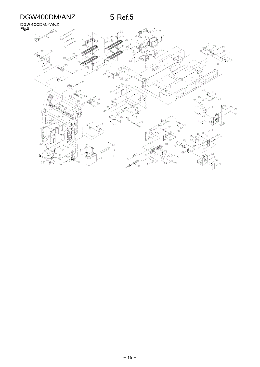DGW400DM/ANZ 5 Ref.5

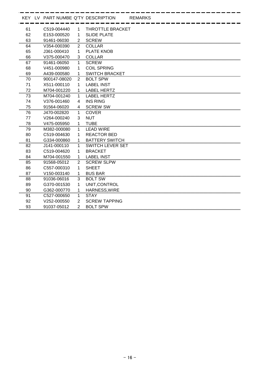|    |              |                         | KEY LV PART NUMBE Q'TY DESCRIPTION | <b>REMARKS</b> |
|----|--------------|-------------------------|------------------------------------|----------------|
| 61 | C519-004440  | 1                       | <b>THROTTLE BRACKET</b>            |                |
| 62 | E153-000520  | 1                       | <b>SLIDE PLATE</b>                 |                |
| 63 | 91461-06030  | $\overline{2}$          | <b>SCREW</b>                       |                |
| 64 | V354-000390  | $\overline{2}$          | <b>COLLAR</b>                      |                |
| 65 | J361-000410  | 1                       | <b>PLATE KNOB</b>                  |                |
| 66 | V375-000470  | $\overline{\mathbf{3}}$ | <b>COLLAR</b>                      |                |
| 67 | 91461-06050  | 1                       | <b>SCREW</b>                       |                |
| 68 | V451-000980  | 1                       | <b>COIL SPRING</b>                 |                |
| 69 | A439-000580  | 1                       | <b>SWITCH BRACKET</b>              |                |
| 70 | 900147-08020 | 2                       | <b>BOLT SPW</b>                    |                |
| 71 | X511-000110  | 1                       | <b>LABEL INST</b>                  |                |
| 72 | M704-001220  | 1                       | <b>LABEL HERTZ</b>                 |                |
| 73 | M704-001240  | 1                       | <b>LABEL HERTZ</b>                 |                |
| 74 | V376-001460  | 4                       | <b>INS RING</b>                    |                |
| 75 | 91564-06020  | 4                       | <b>SCREW SW</b>                    |                |
| 76 | J470-002820  | 1                       | <b>COVER</b>                       |                |
| 77 | V264-000240  | 3                       | <b>NUT</b>                         |                |
| 78 | V475-005950  | 1                       | <b>TUBE</b>                        |                |
| 79 | M382-000080  | 1                       | <b>LEAD WIRE</b>                   |                |
| 80 | C519-004630  | 1                       | <b>REACTOR BED</b>                 |                |
| 81 | G334-000860  | 1                       | <b>BATTERY SWITCH</b>              |                |
| 82 | J141-000110  | 1                       | <b>SWITCH LEVER SET</b>            |                |
| 83 | C519-004620  | 1                       | <b>BRACKET</b>                     |                |
| 84 | M704-001550  | 1                       | <b>LABEL INST</b>                  |                |
| 85 | 91568-05012  | 2                       | <b>SCREW SLPW</b>                  |                |
| 86 | C557-000310  | 1                       | <b>SHEET</b>                       |                |
| 87 | V150-003140  | 1                       | <b>BUS BAR</b>                     |                |
| 88 | 91036-06016  | 3                       | <b>BOLT SW</b>                     |                |
| 89 | G370-001530  | 1                       | UNIT, CONTROL                      |                |
| 90 | G362-000770  | 1                       | <b>HARNESS, WIRE</b>               |                |
| 91 | C527-000650  | 1                       | <b>STAY</b>                        |                |
| 92 | V252-000550  | $\overline{2}$          | <b>SCREW TAPPING</b>               |                |
| 93 | 91037-05012  | $\overline{2}$          | <b>BOLT SPW</b>                    |                |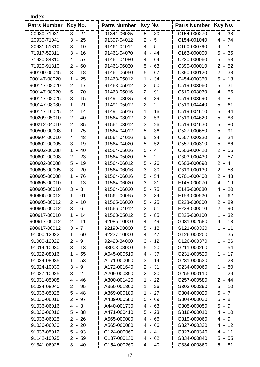| <b>Index</b> |  |  |  |
|--------------|--|--|--|
|              |  |  |  |

| Patrs Number Key No. |                                               | <b>Patrs Number</b> | Key No.                                          | <b>Patrs Number</b> | Key No.                              |
|----------------------|-----------------------------------------------|---------------------|--------------------------------------------------|---------------------|--------------------------------------|
| 20930-71031          | $3 - 24$                                      | 91341-06025         | $5 - 30$                                         | C154-000270         | $4 - 38$                             |
| 20930-71041          | $3 - 25$                                      | 91397-04012         | $2 - 5$                                          | C154-001040         | $4 - 74$                             |
| 20931-51310          | 3<br>10<br>$\sim$                             | 91461-04014         | $4 - 5$                                          | C160-000790         | 4 -<br>$\overline{1}$                |
| 71917-52311          | $3 -$<br>16                                   | 91461-04070         | $4 - 44$                                         | C163-000000         | $5 - 35$                             |
| 71920-84310          | $4 - 57$                                      | 91461-04080         | $4 - 64$                                         | C230-000060         | $5 -$<br>58                          |
| 71920-91310          | $\overline{2}$<br>60<br>$\sim$                | 91461-06030         | 5<br>$-63$                                       | C390-000010         | $2 -$<br>52                          |
| 900100-05045         | $3 -$<br>18                                   | 91461-06050         | 5<br>$-67$                                       | C390-000120         | $2 -$<br>38                          |
| 900147-08020         | 25<br>$\mathbf 1$<br>$\sim$                   | 91463-05012         | $\mathbf{1}$<br>$-34$                            | C454-000350         | $5 -$<br>18                          |
| 900147-08020         | $2 - 17$                                      | 91463-05012         | $2 - 50$                                         | C519-003060         | $5 -$<br>31                          |
| 900147-08020         | 5<br>$-70$                                    | 91463-05016         | $2 -$<br>91                                      | C519-003070         | 4 -<br>56                            |
| 900147-08025         | 3<br>$-15$                                    | 91491-03025         | 39<br>4<br>$\blacksquare$                        | C519-003690         | 3<br>8<br>$\sim$                     |
| 900147-08030         | $\mathbf{1}$<br>21<br>$\sim$                  | 91491-05012         | 2<br>$2 -$                                       | C519-004440         | 5<br>61<br>$\blacksquare$            |
| 900147-10025         | $2 -$<br>14                                   | 91491-05016         | $\mathbf{1}$<br>16<br>$\blacksquare$             | C519-004610         | 5<br>44<br>$\sim$                    |
| 900209-05010         | $2 - 40$                                      | 91564-03012         | $\overline{2}$<br>53<br>$\overline{\phantom{a}}$ | C519-004620         | 5<br>83<br>$\blacksquare$            |
| 900212-04010         | $2 - 35$                                      | 91564-03012         | $-26$<br>3                                       | C519-004630         | 5<br>80<br>$\overline{\phantom{a}}$  |
| 900500-00008         | $-75$<br>$\mathbf{1}$                         | 91564-04012         | 5<br>36<br>$\overline{\phantom{a}}$              | C527-000650         | 5<br>91<br>$\blacksquare$            |
| 900504-00010         | $4 - 48$                                      | 91564-04016         | 5<br>$-34$                                       | C557-000220         | 5<br>24<br>$\sim$                    |
| 900602-00005         | 3<br>19<br>$\blacksquare$                     | 91564-04020         | 5<br>$-52$                                       | C557-000310         | 5<br>86<br>$\sim$                    |
| 900602-00008         | 40<br>$\mathbf 1$<br>$\overline{\phantom{a}}$ | 91564-05016         | 5<br>$-4$                                        | C603-000420         | 2<br>56<br>$\sim$                    |
| 900602-00008         | $\overline{2}$<br>23<br>$\blacksquare$        | 91564-05020         | 5<br>$\overline{2}$<br>$\overline{\phantom{a}}$  | C603-000430         | $\overline{2}$<br>57<br>$\sim$       |
| 900602-00008         | $5 -$<br>19                                   | 91564-06012         | 5<br>$-26$                                       | C603-000690         | $2 - 4$                              |
| 900605-00005         | $-20$<br>3                                    | 91564-06016         | 3<br>30<br>$\overline{\phantom{a}}$              | C619-000130         | $2 -$<br>58                          |
| 900605-00008         | $-76$<br>$\mathbf 1$                          | 91564-06016         | 5<br>$-54$                                       | C701-000400         | $2 -$<br>43                          |
| 900605-00010         | $-13$<br>$\mathbf 1$                          | 91564-06020         | 3<br>$-31$                                       | E145-000070         | 4 -<br>19                            |
| 900605-00010         | $3 - 3$                                       | 91564-06020         | 5<br>$-75$                                       | E145-000080         | 20<br>$4 -$                          |
| 900605-00012         | 61<br>$\mathbf 1$<br>$\overline{\phantom{a}}$ | 91564-06055         | $-34$<br>3                                       | E153-000520         | 5<br>62<br>$\sim$                    |
| 900605-00012         | $2 - 10$                                      | 91565-06030         | $-25$<br>5                                       | E228-000000         | $\overline{2}$<br>89<br>$\sim$       |
| 900605-00012         | $3 -$<br>6                                    | 91566-04012         | $-51$<br>$\overline{2}$                          | E228-000010         | $2 -$<br>90                          |
| 900617-00010         | $1 - 14$                                      | 91568-05012         | $5 - 85$                                         | E325-000100         | 32<br>$\mathbf{1}$<br>$\sim$         |
| 900617-00012         | $2 - 11$                                      | 92085-10000         | 4 - 49                                           | G031-002580         | 4 - 13                               |
| 900617-00012         | $3 - 7$                                       | 92190-08000         | $5 - 12$                                         | G121-000330         | 11<br>$1 -$                          |
| 91000-12022          | $1 - 60$                                      | 92237-10000         | $4 - 47$                                         | G126-000200         | $\mathbf 1$<br>$-35$                 |
| 91000-12022          | 9<br>$2 -$                                    | 92423-34000         | $3 - 12$                                         | G126-000370         | 36<br>1<br>$\blacksquare$            |
| 91014-10030          | $3 - 13$                                      | 93003-08000         | $5 - 20$                                         | G211-000260         | 54<br>1<br>$\blacksquare$            |
| 91022-08016          | $\mathbf 1$<br>- 55                           | A045-000510         | $4 - 37$                                         | G231-000520         | 17<br>1.<br>$\overline{\phantom{a}}$ |
| 91024-08035          | $-53$<br>1.                                   | A171-000090         | $3 - 14$                                         | G231-000530         | $-23$<br>1.                          |
| 91024-10030          | $3 - 9$                                       | A172-001640         | $2 - 31$                                         | G234-000060         | 80<br>$\mathbf 1$<br>$\blacksquare$  |
| 91027-10025          | $3 - 2$                                       | A209-000390         | $2 - 30$                                         | G255-000110         | 29<br>1<br>$\blacksquare$            |
| 91031-05008          | $4 - 46$                                      | A300-001420         | 1<br>$-22$                                       | G257-000580         | $-44$<br>$\overline{2}$              |
| 91034-08040          | $2 - 95$                                      | A350-001800         | $\mathbf{1}$<br>$-26$                            | G303-000290         | $5 - 10$                             |
| 91036-05025          | $5 - 48$                                      | A369-000180         | $-27$<br>$\mathbf 1$                             | G304-000020         | $5 - 7$                              |
| 91036-06016          | $2 - 97$                                      | A439-000580         | 5<br>$-69$                                       | G304-000030         | $5 - 8$                              |
| 91036-06016          | $4 - 3$                                       | A440-001730         | $\overline{4}$<br>$-63$                          | G305-000050         | $5 - 9$                              |
| 91036-06016          | $5 - 88$                                      | A471-000410         | $5 - 23$                                         | G318-000010         | $4 - 10$                             |
| 91036-06025          | $2 - 26$                                      | A565-000080         | $4 - 66$                                         | G319-000060         | $4 - 9$                              |
| 91036-06030          | $2 - 20$                                      | A565-000080         | $\overline{4}$<br>$-66$                          | G327-000330         | $4 - 12$                             |
| 91037-05012          | $5 - 93$                                      | C124-000060         | $4 - 4$                                          | G327-000340         | 11<br>4 -                            |
| 91142-10025          | $2 - 59$                                      | C137-000130         | $4 - 62$                                         | G334-000840         | $5 - 55$                             |
| 91341-06025          | $3 - 40$                                      | C154-000260         | $4 - 40$                                         | G334-000860         | $5 - 81$                             |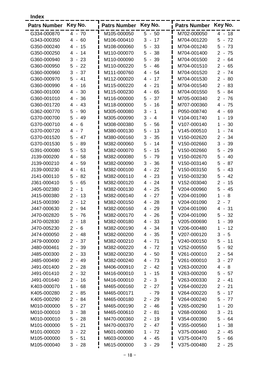| Patrs Number Key No. |                                        | Patrs Number Key No. |                                                  | <b>Patrs Number</b> | Key No.                                          |
|----------------------|----------------------------------------|----------------------|--------------------------------------------------|---------------------|--------------------------------------------------|
| G334-000870          | $4 - 70$                               | M105-000050          | $5 - 50$                                         | M702-000050         | $4 - 18$                                         |
| G343-000350          | 60<br>$4 -$                            | M106-000410          | $3 -$<br>17                                      | M704-001220         | $5 -$<br>72                                      |
| G350-000240          | $4 - 15$                               | M108-000060          | 5<br>$-33$                                       | M704-001240         | 73<br>$5 -$                                      |
| G350-000250          | $4 - 14$                               | M110-000070          | 5<br>$-38$                                       | M704-001400         | $2 -$<br>75                                      |
| G360-000940          | $3 - 23$                               | M110-000090          | 5<br>39<br>$\blacksquare$                        | M704-001500         | $2 -$<br>64                                      |
| G360-000950          | 5<br>$-22$                             | M110-000220          | 5<br>-46<br>$\overline{\phantom{a}}$             | M704-001510         | $2 -$<br>65                                      |
| G360-000960          | $-37$<br>3                             | M111-000760          | 54<br>4<br>$\overline{\phantom{a}}$              | M704-001520         | $2 -$<br>74                                      |
| G360-000970          | 5<br>$-41$                             | M112-000020          | 17<br>4 -                                        | M704-001530         | $2 -$<br>80                                      |
| G360-000990          | $\overline{4}$<br>16<br>$\blacksquare$ | M115-000220          | 21<br>4 -                                        | M704-001540         | 83<br>$2 -$                                      |
| G360-001000          | 30<br>4<br>$\blacksquare$              | M115-000230          | 65<br>4<br>$\overline{\phantom{a}}$              | M704-001550         | 5<br>84<br>$\overline{\phantom{a}}$              |
| G360-001010          | 36<br>$\overline{4}$<br>$\blacksquare$ | M116-000000          | 37<br>5<br>$\blacksquare$                        | M705-000340         | $2 -$<br>76                                      |
| G360-001720          | $-43$<br>4                             | M118-000000          | 5<br>16<br>$\blacksquare$                        | M707-000360         | 75<br>4 -                                        |
| G362-000770          | 5<br>90<br>$\sim$                      | M305-000080          | 3<br>$\mathbf{1}$<br>$\blacksquare$              | P050-008740         | 69<br>4 -                                        |
| G370-000700          | 5<br>49<br>$\blacksquare$              | M305-000090          | 3<br>$\overline{4}$<br>$\overline{\phantom{a}}$  | V104-001740         | $\mathbf{1}$<br>19<br>$\blacksquare$             |
| G370-000710          | $\overline{4}$<br>6<br>$\blacksquare$  | M308-000380          | 5<br>56<br>$\blacksquare$                        | V107-000140         | 1<br>30<br>$\overline{\phantom{0}}$              |
| G370-000720          | $\overline{7}$<br>4<br>$\blacksquare$  | M380-000130          | 5<br>13<br>$\blacksquare$                        | V145-000510         | 74<br>1<br>$\blacksquare$                        |
| G370-001520          | 5<br>$-47$                             | M380-000160          | 3<br>35<br>$\blacksquare$                        | V150-002620         | $\overline{2}$<br>34<br>$\overline{\phantom{a}}$ |
| G370-001530          | 5<br>89<br>$\sim$                      | M382-000060          | 5<br>14<br>$\overline{\phantom{a}}$              | V150-002660         | 39<br>3<br>$\blacksquare$                        |
| G391-000080          | 5<br>53<br>$\blacksquare$              | M382-000070          | 5<br>15<br>$\blacksquare$                        | V150-002660         | 5<br>29<br>$\blacksquare$                        |
| J139-000200          | 58<br>4<br>$\blacksquare$              | M382-000080          | 79<br>5<br>$\overline{\phantom{a}}$              | V150-002670         | 5<br>40<br>$\blacksquare$                        |
| J139-000210          | 59<br>4<br>$\blacksquare$              | M382-000090          | 3<br>36<br>$\blacksquare$                        | V150-003140         | 5<br>87<br>$\sim$                                |
| J139-000230          | 61<br>4<br>$\sim$                      | M382-000100          | $\overline{4}$<br>22<br>$\overline{\phantom{a}}$ | V150-003150         | 5<br>43<br>$\sim$                                |
| J141-000110          | 5<br>82<br>$\sim$                      | M382-000110          | -23<br>4 -                                       | V150-003230         | 5<br>42<br>$\overline{\phantom{a}}$              |
| J361-000410          | 5<br>$-65$                             | M382-000120          | $4 - 24$                                         | V152-003040         | 2<br>15<br>$\overline{\phantom{a}}$              |
| J405-002380          | $2 -$<br>1                             | M382-000130          | $4 - 25$                                         | V204-000960         | 5<br>- 45                                        |
| J415-000380          | $\overline{2}$<br>13<br>$\sim$         | M382-000140          | $4 - 27$                                         | V204-001090         | $\mathbf{1}$<br>8<br>$\blacksquare$              |
| J415-000390          | $2 - 12$                               | M382-000150          | $4 - 28$                                         | V204-001090         | $2 - 7$                                          |
| J447-000630          | $2 - 94$                               | M382-000160          | 29<br>4 -                                        | V204-001090         | $4 -$<br>31                                      |
| J470-002820          | $5 - 76$                               | M382-000170          | $4 - 26$                                         | V204-001090         | $5 -$<br>32                                      |
| J470-002830          | $2 - 18$                               | M382-000180          | $4 - 33$                                         | V205-000690         | 1.<br>$-39$                                      |
| J470-005230          | $2 - 6$                                | M382-000190          | $4 - 34$                                         | V206-000480         | 12<br>1<br>$\overline{\phantom{a}}$              |
| J474-000050          | $2 - 48$                               | M382-000200          | $4 - 35$                                         | V207-000120         | $3 - 5$                                          |
| J479-000000          | $2 - 37$                               | M382-000210          | 4 - 71                                           | V240-000150         | $5 - 11$                                         |
| J480-000461          | $2 - 39$                               | M382-000220          | $4 - 72$                                         | V252-000550         | $5 -$<br>92                                      |
| J485-000300          | $2 - 33$                               | M382-000230          | $4 - 50$                                         | V261-000010         | $2 - 54$                                         |
| J485-000490          | $2 - 49$                               | M382-000240          | $4 - 73$                                         | V261-000010         | $3 - 27$                                         |
| J491-001400          | $2 - 28$                               | M406-000910          | $2 - 42$                                         | V263-000200         | $4 - 8$                                          |
| J491-001410          | $2 - 32$                               | M416-000010          | $-15$<br>1.                                      | V263-000200         | $5 - 57$                                         |
| J491-001640          | $2 - 16$                               | M416-000010          | $2 - 3$                                          | V263-000330         | $2 - 41$                                         |
| K403-000070          | $-68$<br>$\mathbf{1}$                  | M465-000160          | $2 - 27$                                         | V264-000220         | $2 - 21$                                         |
| K405-000280          | $2 - 85$                               | M465-000171          | $-79$                                            | V264-000220         | $5 - 17$                                         |
| K405-000290          | $2 - 84$                               | M465-000180          | $2 - 29$                                         | V264-000240         | $5 - 77$                                         |
| M010-000000          | $5 - 27$                               | M465-000190          | $2 - 46$                                         | V265-000290         | 1<br>20<br>$\blacksquare$                        |
| M010-000010          | $3 - 38$                               | M465-000610          | $2 - 81$                                         | V268-000060         | $3 -$<br>21                                      |
| M010-000010          | $5 - 28$                               | M470-000360          | $2 - 19$                                         | V354-000390         | 5 -<br>64                                        |
| M101-000000          | $5 - 21$                               | M470-000370          | $2 - 47$                                         | V355-000560         | 38<br>1<br>$\blacksquare$                        |
| M101-000020          | $3 - 22$                               | M601-000080          | $-72$<br>1                                       | V375-000460         | 45<br>$\overline{2}$<br>$\blacksquare$           |
| M105-000000          | $5 - 51$                               | M603-000000          | 4 - 45                                           | V375-000470         | $5 - 66$                                         |
| M105-000040          | $3 - 28$                               | M615-000000          | $3 - 29$                                         | V375-000480         | $2 - 25$                                         |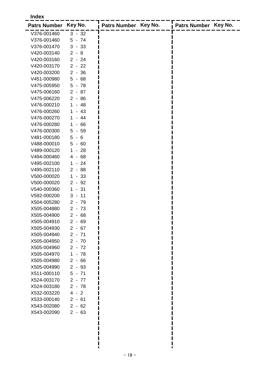### **Index**

| <b>Patrs Number</b> | Key No.               |                      | Patrs Number Key No. |
|---------------------|-----------------------|----------------------|----------------------|
|                     |                       | Patrs Number Key No. |                      |
| V376-001460         | $3 - 32$              |                      |                      |
| V376-001460         | $5 - 74$              |                      |                      |
| V376-001470         | $3 - 33$              |                      |                      |
| V420-003140         | $2 - 8$               |                      |                      |
| V420-003160         | $2 - 24$              |                      |                      |
| V420-003170         | $2 - 22$              |                      |                      |
| V420-003200         | $2 - 36$              |                      |                      |
| V451-000980         | $5 - 68$              |                      |                      |
| V475-005950         | $5 - 78$              |                      |                      |
| V475-006160         | $2 - 87$              |                      |                      |
| V475-006220         | $2 - 86$              |                      |                      |
| V476-000210         | $1 - 48$              |                      |                      |
| V476-000260         | $-43$<br>$\mathbf 1$  |                      |                      |
| V476-000270         | $-44$<br>$\mathbf{1}$ |                      |                      |
| V476-000280         | $-66$<br>$\mathbf{1}$ |                      |                      |
| V476-000300         | $5 - 59$              |                      |                      |
| V481-000180         | 5<br>$-6$             |                      |                      |
| V488-000010         | 5<br>$-60$            |                      |                      |
| V489-000120         | $\mathbf 1$<br>$-28$  |                      |                      |
| V494-000460         | $4 - 68$              |                      |                      |
| V495-002100         | $1 - 24$              |                      |                      |
| V495-002110         | $2 - 88$              |                      |                      |
| V500-000020         | $-33$<br>$\mathbf{1}$ |                      |                      |
| V500-000020         | $2 - 92$              |                      |                      |
| V540-000360         | $-31$<br>$\mathbf{1}$ |                      |                      |
| V592-000200         | $3 - 11$              |                      |                      |
| X504-005280         | $2 - 79$              |                      |                      |
| X505-004880         | $2 - 73$              |                      |                      |
| X505-004900         | $2 - 68$              |                      |                      |
| X505-004910         | $2 - 69$              |                      |                      |
| X505-004930         | $2 - 67$              |                      |                      |
| X505-004940         | $2 - 71$              |                      |                      |
| X505-004950         | $2 - 70$              |                      |                      |
| X505-004960         | $2 - 72$              |                      |                      |
| X505-004970         | $1 - 78$              |                      |                      |
| X505-004980         | $2 - 66$              |                      |                      |
| X505-004990         | $2 - 93$              |                      |                      |
| X511-000110         | $5 - 71$              |                      |                      |
| X524-003170         | $2 - 77$              |                      |                      |
| X524-003180         | $2 - 78$              |                      |                      |
| X532-003220         | $4 - 2$               |                      |                      |
| X533-000140         | $2 - 61$              |                      |                      |
| X543-002080         | $2 - 62$              |                      |                      |
| X543-002090         | $2 - 63$              |                      |                      |
|                     |                       |                      |                      |
|                     |                       |                      |                      |
|                     |                       |                      |                      |
|                     |                       |                      |                      |
|                     |                       |                      |                      |
|                     |                       |                      |                      |